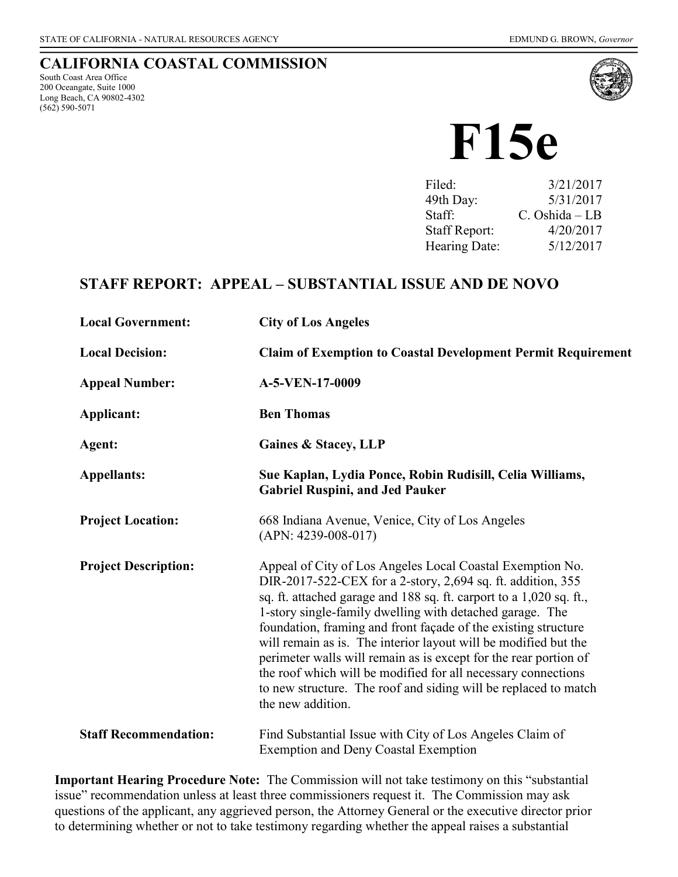### **CALIFORNIA COASTAL COMMISSION**

South Coast Area Office 200 Oceangate, Suite 1000 Long Beach, CA 90802-4302 (562) 590-5071



# **F15e**

| Filed:               | 3/21/2017         |
|----------------------|-------------------|
| 49th Day:            | 5/31/2017         |
| Staff:               | $C.$ Oshida $-LB$ |
| <b>Staff Report:</b> | 4/20/2017         |
| Hearing Date:        | 5/12/2017         |

# **STAFF REPORT: APPEAL – SUBSTANTIAL ISSUE AND DE NOVO**

| <b>Local Government:</b>     | <b>City of Los Angeles</b>                                                                                                                                                                                                                                                                                                                                                                                                                                                                                                                                                                                                    |
|------------------------------|-------------------------------------------------------------------------------------------------------------------------------------------------------------------------------------------------------------------------------------------------------------------------------------------------------------------------------------------------------------------------------------------------------------------------------------------------------------------------------------------------------------------------------------------------------------------------------------------------------------------------------|
| <b>Local Decision:</b>       | <b>Claim of Exemption to Coastal Development Permit Requirement</b>                                                                                                                                                                                                                                                                                                                                                                                                                                                                                                                                                           |
| <b>Appeal Number:</b>        | A-5-VEN-17-0009                                                                                                                                                                                                                                                                                                                                                                                                                                                                                                                                                                                                               |
| Applicant:                   | <b>Ben Thomas</b>                                                                                                                                                                                                                                                                                                                                                                                                                                                                                                                                                                                                             |
| Agent:                       | <b>Gaines &amp; Stacey, LLP</b>                                                                                                                                                                                                                                                                                                                                                                                                                                                                                                                                                                                               |
| <b>Appellants:</b>           | Sue Kaplan, Lydia Ponce, Robin Rudisill, Celia Williams,<br><b>Gabriel Ruspini, and Jed Pauker</b>                                                                                                                                                                                                                                                                                                                                                                                                                                                                                                                            |
| <b>Project Location:</b>     | 668 Indiana Avenue, Venice, City of Los Angeles<br>$(APN: 4239-008-017)$                                                                                                                                                                                                                                                                                                                                                                                                                                                                                                                                                      |
| <b>Project Description:</b>  | Appeal of City of Los Angeles Local Coastal Exemption No.<br>DIR-2017-522-CEX for a 2-story, 2,694 sq. ft. addition, 355<br>sq. ft. attached garage and 188 sq. ft. carport to a 1,020 sq. ft.,<br>1-story single-family dwelling with detached garage. The<br>foundation, framing and front façade of the existing structure<br>will remain as is. The interior layout will be modified but the<br>perimeter walls will remain as is except for the rear portion of<br>the roof which will be modified for all necessary connections<br>to new structure. The roof and siding will be replaced to match<br>the new addition. |
| <b>Staff Recommendation:</b> | Find Substantial Issue with City of Los Angeles Claim of<br><b>Exemption and Deny Coastal Exemption</b>                                                                                                                                                                                                                                                                                                                                                                                                                                                                                                                       |

**Important Hearing Procedure Note:** The Commission will not take testimony on this "substantial issue" recommendation unless at least three commissioners request it. The Commission may ask questions of the applicant, any aggrieved person, the Attorney General or the executive director prior to determining whether or not to take testimony regarding whether the appeal raises a substantial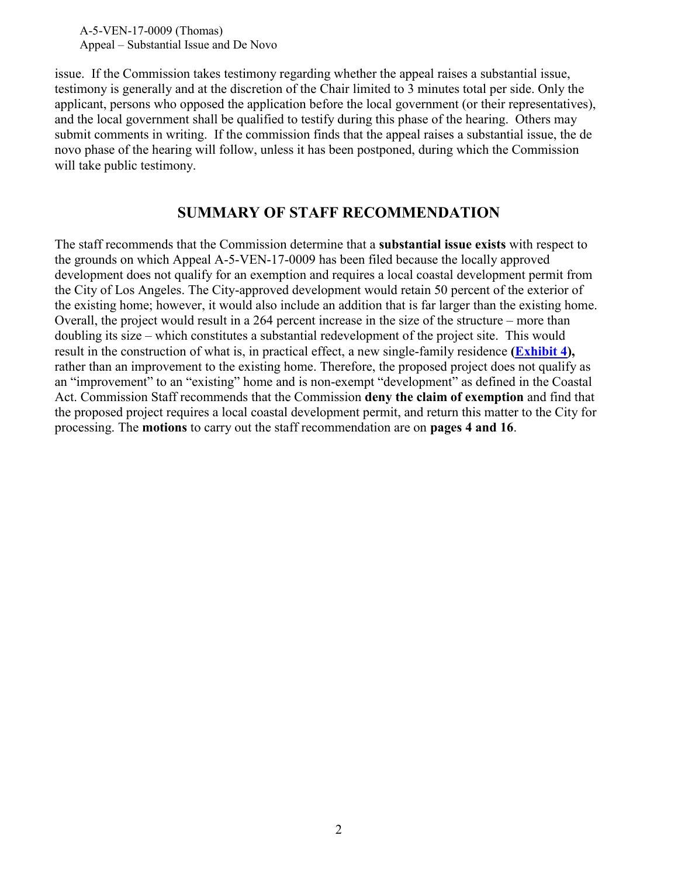issue. If the Commission takes testimony regarding whether the appeal raises a substantial issue, testimony is generally and at the discretion of the Chair limited to 3 minutes total per side. Only the applicant, persons who opposed the application before the local government (or their representatives), and the local government shall be qualified to testify during this phase of the hearing. Others may submit comments in writing. If the commission finds that the appeal raises a substantial issue, the de novo phase of the hearing will follow, unless it has been postponed, during which the Commission will take public testimony.

## **SUMMARY OF STAFF RECOMMENDATION**

The staff recommends that the Commission determine that a **substantial issue exists** with respect to the grounds on which Appeal A-5-VEN-17-0009 has been filed because the locally approved development does not qualify for an exemption and requires a local coastal development permit from the City of Los Angeles. The City-approved development would retain 50 percent of the exterior of the existing home; however, it would also include an addition that is far larger than the existing home. Overall, the project would result in a 264 percent increase in the size of the structure – more than doubling its size – which constitutes a substantial redevelopment of the project site. This would result in the construction of what is, in practical effect, a new single-family residence **[\(Exhibit 4\)](https://documents.coastal.ca.gov/reports/2017/5/f15e/f15e-5-2017-exhibits.pdf),**  rather than an improvement to the existing home. Therefore, the proposed project does not qualify as an "improvement" to an "existing" home and is non-exempt "development" as defined in the Coastal Act. Commission Staff recommends that the Commission **deny the claim of exemption** and find that the proposed project requires a local coastal development permit, and return this matter to the City for processing. The **motions** to carry out the staff recommendation are on **pages 4 and 16**.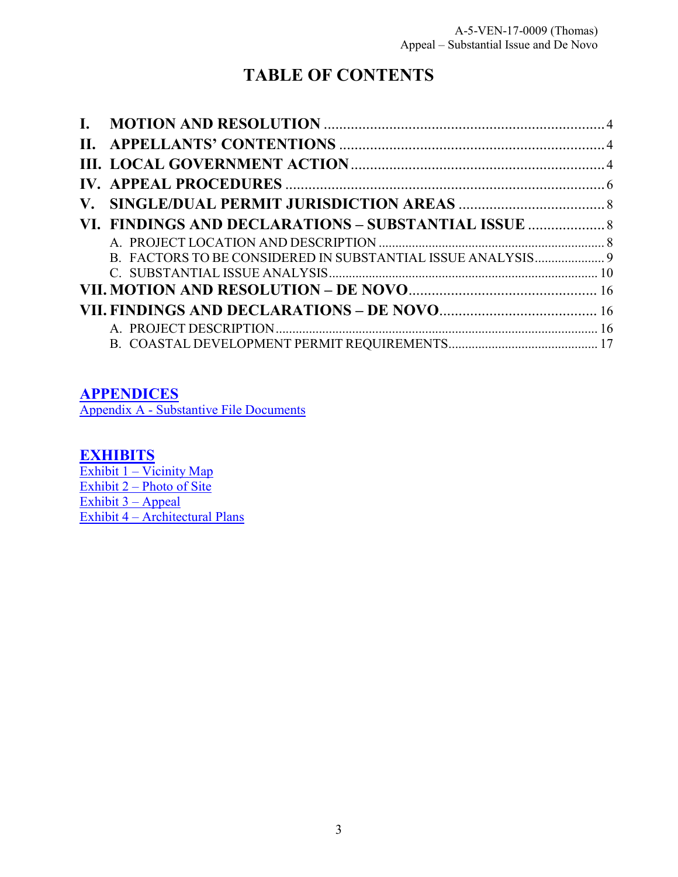# **TABLE OF CONTENTS**

| VI. FINDINGS AND DECLARATIONS - SUBSTANTIAL ISSUE           |  |
|-------------------------------------------------------------|--|
|                                                             |  |
| B. FACTORS TO BE CONSIDERED IN SUBSTANTIAL ISSUE ANALYSIS 9 |  |
|                                                             |  |
|                                                             |  |
|                                                             |  |
|                                                             |  |
|                                                             |  |

## **[APPENDICES](#page-19-0)**

[Appendix A - Substantive File Documents](#page-19-0)

## **[EXHIBITS](https://documents.coastal.ca.gov/reports/2017/5/f15e/f15e-5-2017-exhibits.pdf)**

Exhibit 1 – Vicinity Map Exhibit 2 – Photo of Site [Exhibit 3 –](https://documents.coastal.ca.gov/reports/2017/5/f15e/f15e-5-2017-exhibits.pdf) Appeal Exhibit 4 – [Architectural Plans](https://documents.coastal.ca.gov/reports/2017/5/f15e/f15e-5-2017-exhibits.pdf)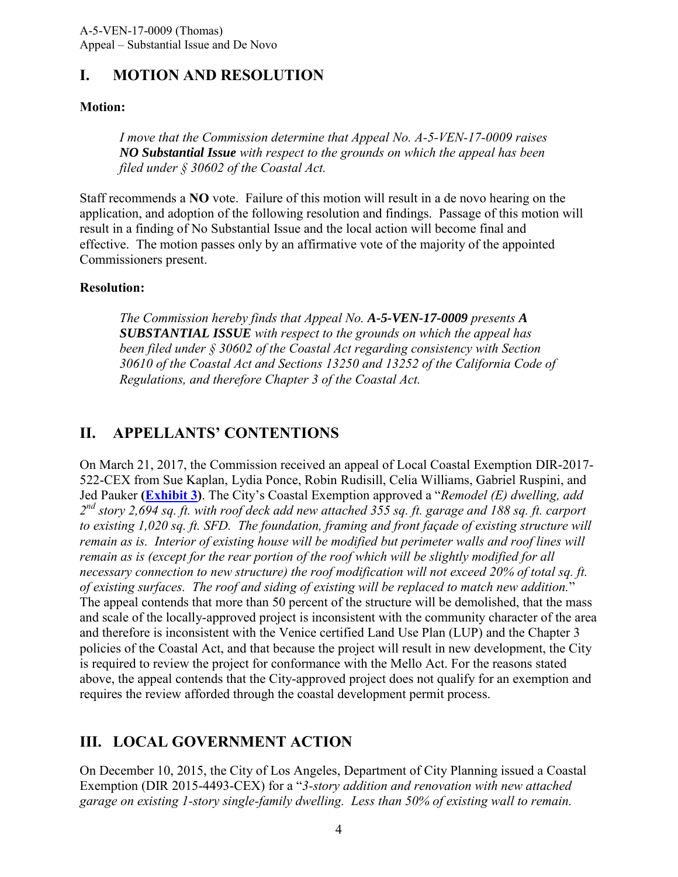## <span id="page-3-0"></span>**I. MOTION AND RESOLUTION**

#### **Motion:**

*I move that the Commission determine that Appeal No. A-5-VEN-17-0009 raises NO Substantial Issue with respect to the grounds on which the appeal has been filed under § 30602 of the Coastal Act.*

Staff recommends a **NO** vote. Failure of this motion will result in a de novo hearing on the application, and adoption of the following resolution and findings. Passage of this motion will result in a finding of No Substantial Issue and the local action will become final and effective. The motion passes only by an affirmative vote of the majority of the appointed Commissioners present.

#### **Resolution:**

*The Commission hereby finds that Appeal No. A-5-VEN-17-0009 presents A SUBSTANTIAL ISSUE with respect to the grounds on which the appeal has been filed under § 30602 of the Coastal Act regarding consistency with Section 30610 of the Coastal Act and Sections 13250 and 13252 of the California Code of Regulations, and therefore Chapter 3 of the Coastal Act.*

## <span id="page-3-1"></span>**II. APPELLANTS' CONTENTIONS**

On March 21, 2017, the Commission received an appeal of Local Coastal Exemption DIR-2017- 522-CEX from Sue Kaplan, Lydia Ponce, Robin Rudisill, Celia Williams, Gabriel Ruspini, and Jed Pauker **[\(Exhibit 3\)](https://documents.coastal.ca.gov/reports/2017/5/f15e/f15e-5-2017-exhibits.pdf)**. The City's Coastal Exemption approved a "*Remodel (E) dwelling, add 2 nd story 2,694 sq. ft. with roof deck add new attached 355 sq. ft. garage and 188 sq. ft. carport to existing 1,020 sq. ft. SFD. The foundation, framing and front façade of existing structure will remain as is. Interior of existing house will be modified but perimeter walls and roof lines will remain as is (except for the rear portion of the roof which will be slightly modified for all necessary connection to new structure) the roof modification will not exceed 20% of total sq. ft. of existing surfaces. The roof and siding of existing will be replaced to match new addition.*" The appeal contends that more than 50 percent of the structure will be demolished, that the mass and scale of the locally-approved project is inconsistent with the community character of the area and therefore is inconsistent with the Venice certified Land Use Plan (LUP) and the Chapter 3 policies of the Coastal Act, and that because the project will result in new development, the City is required to review the project for conformance with the Mello Act. For the reasons stated above, the appeal contends that the City-approved project does not qualify for an exemption and requires the review afforded through the coastal development permit process.

# <span id="page-3-2"></span>**III. LOCAL GOVERNMENT ACTION**

On December 10, 2015, the City of Los Angeles, Department of City Planning issued a Coastal Exemption (DIR 2015-4493-CEX) for a "*3-story addition and renovation with new attached garage on existing 1-story single-family dwelling. Less than 50% of existing wall to remain.*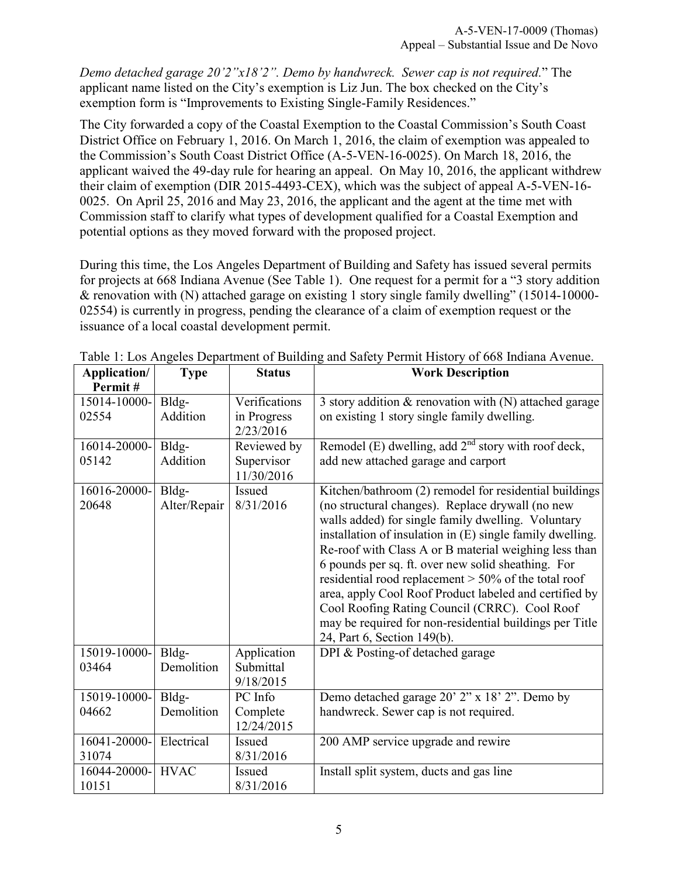*Demo detached garage 20'2"x18'2". Demo by handwreck. Sewer cap is not required.*" The applicant name listed on the City's exemption is Liz Jun. The box checked on the City's exemption form is "Improvements to Existing Single-Family Residences."

The City forwarded a copy of the Coastal Exemption to the Coastal Commission's South Coast District Office on February 1, 2016. On March 1, 2016, the claim of exemption was appealed to the Commission's South Coast District Office (A-5-VEN-16-0025). On March 18, 2016, the applicant waived the 49-day rule for hearing an appeal. On May 10, 2016, the applicant withdrew their claim of exemption (DIR 2015-4493-CEX), which was the subject of appeal A-5-VEN-16- 0025. On April 25, 2016 and May 23, 2016, the applicant and the agent at the time met with Commission staff to clarify what types of development qualified for a Coastal Exemption and potential options as they moved forward with the proposed project.

During this time, the Los Angeles Department of Building and Safety has issued several permits for projects at 668 Indiana Avenue (See Table 1). One request for a permit for a "3 story addition & renovation with (N) attached garage on existing 1 story single family dwelling" (15014-10000- 02554) is currently in progress, pending the clearance of a claim of exemption request or the issuance of a local coastal development permit.

| Application/          | <b>Type</b>           | <b>Status</b>                         | <b>Work Description</b>                                                                                                                                                                                                                                                                                                                                                                                                                                                                                                                                                                                     |
|-----------------------|-----------------------|---------------------------------------|-------------------------------------------------------------------------------------------------------------------------------------------------------------------------------------------------------------------------------------------------------------------------------------------------------------------------------------------------------------------------------------------------------------------------------------------------------------------------------------------------------------------------------------------------------------------------------------------------------------|
| Permit#               |                       |                                       |                                                                                                                                                                                                                                                                                                                                                                                                                                                                                                                                                                                                             |
| 15014-10000-          | Bldg-                 | Verifications                         | 3 story addition $\&$ renovation with (N) attached garage                                                                                                                                                                                                                                                                                                                                                                                                                                                                                                                                                   |
| 02554                 | Addition              | in Progress<br>2/23/2016              | on existing 1 story single family dwelling.                                                                                                                                                                                                                                                                                                                                                                                                                                                                                                                                                                 |
| 16014-20000-          | Bldg-                 | Reviewed by                           | Remodel (E) dwelling, add $2nd$ story with roof deck,                                                                                                                                                                                                                                                                                                                                                                                                                                                                                                                                                       |
| 05142                 | Addition              | Supervisor<br>11/30/2016              | add new attached garage and carport                                                                                                                                                                                                                                                                                                                                                                                                                                                                                                                                                                         |
| 16016-20000-<br>20648 | Bldg-<br>Alter/Repair | Issued<br>8/31/2016                   | Kitchen/bathroom (2) remodel for residential buildings<br>(no structural changes). Replace drywall (no new<br>walls added) for single family dwelling. Voluntary<br>installation of insulation in (E) single family dwelling.<br>Re-roof with Class A or B material weighing less than<br>6 pounds per sq. ft. over new solid sheathing. For<br>residential rood replacement $>$ 50% of the total roof<br>area, apply Cool Roof Product labeled and certified by<br>Cool Roofing Rating Council (CRRC). Cool Roof<br>may be required for non-residential buildings per Title<br>24, Part 6, Section 149(b). |
| 15019-10000-<br>03464 | Bldg-<br>Demolition   | Application<br>Submittal<br>9/18/2015 | DPI & Posting-of detached garage                                                                                                                                                                                                                                                                                                                                                                                                                                                                                                                                                                            |
| 15019-10000-          | Bldg-                 | PC Info                               | Demo detached garage 20' 2" x 18' 2". Demo by                                                                                                                                                                                                                                                                                                                                                                                                                                                                                                                                                               |
| 04662                 | Demolition            | Complete<br>12/24/2015                | handwreck. Sewer cap is not required.                                                                                                                                                                                                                                                                                                                                                                                                                                                                                                                                                                       |
| 16041-20000-          | Electrical            | Issued                                | 200 AMP service upgrade and rewire                                                                                                                                                                                                                                                                                                                                                                                                                                                                                                                                                                          |
| 31074                 |                       | 8/31/2016                             |                                                                                                                                                                                                                                                                                                                                                                                                                                                                                                                                                                                                             |
| 16044-20000-          | <b>HVAC</b>           | Issued                                | Install split system, ducts and gas line                                                                                                                                                                                                                                                                                                                                                                                                                                                                                                                                                                    |
| 10151                 |                       | 8/31/2016                             |                                                                                                                                                                                                                                                                                                                                                                                                                                                                                                                                                                                                             |

Table 1: Los Angeles Department of Building and Safety Permit History of 668 Indiana Avenue.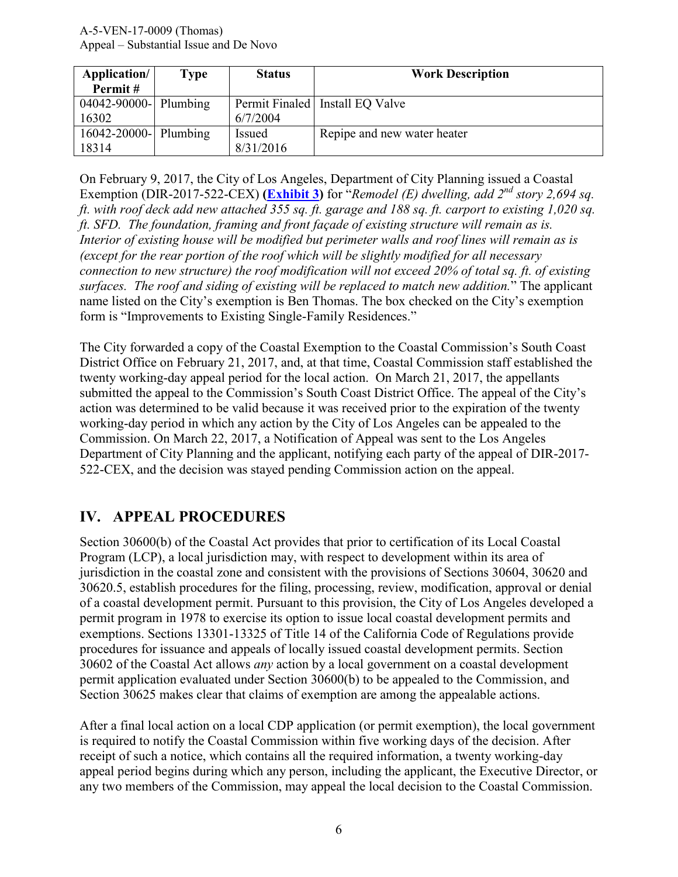| Application/          | Type | <b>Status</b> | <b>Work Description</b>         |
|-----------------------|------|---------------|---------------------------------|
| Permit#               |      |               |                                 |
| 04042-90000- Plumbing |      |               | Permit Finaled Install EQ Valve |
| 16302                 |      | 6/7/2004      |                                 |
| 16042-20000- Plumbing |      | <i>Issued</i> | Repipe and new water heater     |
| 18314                 |      | 8/31/2016     |                                 |

On February 9, 2017, the City of Los Angeles, Department of City Planning issued a Coastal Exemption (DIR-2017-522-CEX) **[\(Exhibit 3\)](https://documents.coastal.ca.gov/reports/2017/5/f15e/f15e-5-2017-exhibits.pdf)** for "*Remodel (E) dwelling, add 2nd story 2,694 sq. ft. with roof deck add new attached 355 sq. ft. garage and 188 sq. ft. carport to existing 1,020 sq. ft. SFD. The foundation, framing and front façade of existing structure will remain as is. Interior of existing house will be modified but perimeter walls and roof lines will remain as is (except for the rear portion of the roof which will be slightly modified for all necessary connection to new structure) the roof modification will not exceed 20% of total sq. ft. of existing surfaces. The roof and siding of existing will be replaced to match new addition.*" The applicant name listed on the City's exemption is Ben Thomas. The box checked on the City's exemption form is "Improvements to Existing Single-Family Residences."

The City forwarded a copy of the Coastal Exemption to the Coastal Commission's South Coast District Office on February 21, 2017, and, at that time, Coastal Commission staff established the twenty working-day appeal period for the local action. On March 21, 2017, the appellants submitted the appeal to the Commission's South Coast District Office. The appeal of the City's action was determined to be valid because it was received prior to the expiration of the twenty working-day period in which any action by the City of Los Angeles can be appealed to the Commission. On March 22, 2017, a Notification of Appeal was sent to the Los Angeles Department of City Planning and the applicant, notifying each party of the appeal of DIR-2017- 522-CEX, and the decision was stayed pending Commission action on the appeal.

# <span id="page-5-0"></span>**IV. APPEAL PROCEDURES**

Section 30600(b) of the Coastal Act provides that prior to certification of its Local Coastal Program (LCP), a local jurisdiction may, with respect to development within its area of jurisdiction in the coastal zone and consistent with the provisions of Sections 30604, 30620 and 30620.5, establish procedures for the filing, processing, review, modification, approval or denial of a coastal development permit. Pursuant to this provision, the City of Los Angeles developed a permit program in 1978 to exercise its option to issue local coastal development permits and exemptions. Sections 13301-13325 of Title 14 of the California Code of Regulations provide procedures for issuance and appeals of locally issued coastal development permits. Section 30602 of the Coastal Act allows *any* action by a local government on a coastal development permit application evaluated under Section 30600(b) to be appealed to the Commission, and Section 30625 makes clear that claims of exemption are among the appealable actions.

After a final local action on a local CDP application (or permit exemption), the local government is required to notify the Coastal Commission within five working days of the decision. After receipt of such a notice, which contains all the required information, a twenty working-day appeal period begins during which any person, including the applicant, the Executive Director, or any two members of the Commission, may appeal the local decision to the Coastal Commission.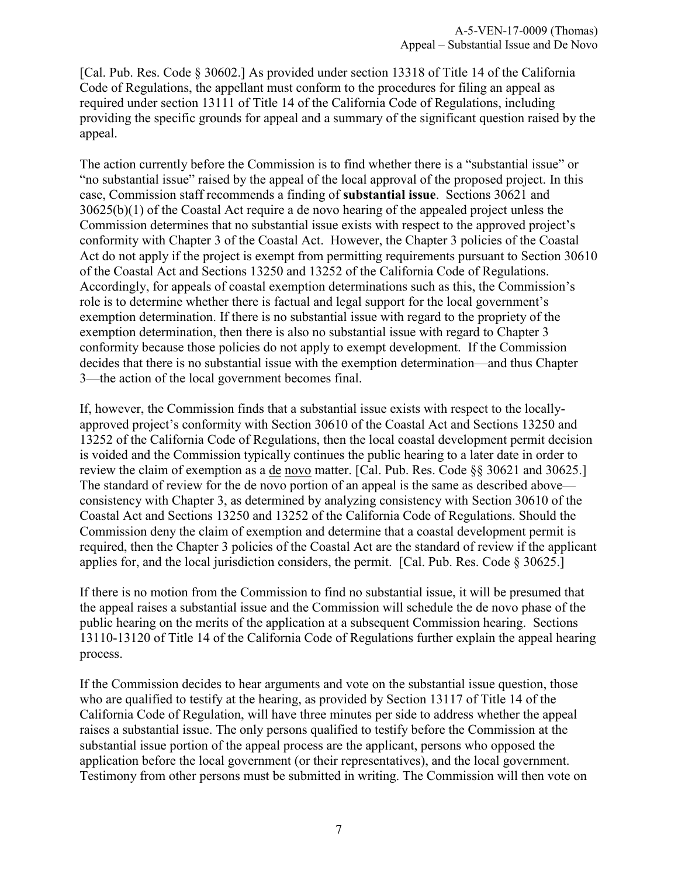[Cal. Pub. Res. Code § 30602.] As provided under section 13318 of Title 14 of the California Code of Regulations, the appellant must conform to the procedures for filing an appeal as required under section 13111 of Title 14 of the California Code of Regulations, including providing the specific grounds for appeal and a summary of the significant question raised by the appeal.

The action currently before the Commission is to find whether there is a "substantial issue" or "no substantial issue" raised by the appeal of the local approval of the proposed project. In this case, Commission staff recommends a finding of **substantial issue**. Sections 30621 and 30625(b)(1) of the Coastal Act require a de novo hearing of the appealed project unless the Commission determines that no substantial issue exists with respect to the approved project's conformity with Chapter 3 of the Coastal Act. However, the Chapter 3 policies of the Coastal Act do not apply if the project is exempt from permitting requirements pursuant to Section 30610 of the Coastal Act and Sections 13250 and 13252 of the California Code of Regulations. Accordingly, for appeals of coastal exemption determinations such as this, the Commission's role is to determine whether there is factual and legal support for the local government's exemption determination. If there is no substantial issue with regard to the propriety of the exemption determination, then there is also no substantial issue with regard to Chapter 3 conformity because those policies do not apply to exempt development. If the Commission decides that there is no substantial issue with the exemption determination—and thus Chapter 3—the action of the local government becomes final.

If, however, the Commission finds that a substantial issue exists with respect to the locallyapproved project's conformity with Section 30610 of the Coastal Act and Sections 13250 and 13252 of the California Code of Regulations, then the local coastal development permit decision is voided and the Commission typically continues the public hearing to a later date in order to review the claim of exemption as a de novo matter. [Cal. Pub. Res. Code §§ 30621 and 30625.] The standard of review for the de novo portion of an appeal is the same as described above consistency with Chapter 3, as determined by analyzing consistency with Section 30610 of the Coastal Act and Sections 13250 and 13252 of the California Code of Regulations. Should the Commission deny the claim of exemption and determine that a coastal development permit is required, then the Chapter 3 policies of the Coastal Act are the standard of review if the applicant applies for, and the local jurisdiction considers, the permit. [Cal. Pub. Res. Code § 30625.]

If there is no motion from the Commission to find no substantial issue, it will be presumed that the appeal raises a substantial issue and the Commission will schedule the de novo phase of the public hearing on the merits of the application at a subsequent Commission hearing. Sections 13110-13120 of Title 14 of the California Code of Regulations further explain the appeal hearing process.

If the Commission decides to hear arguments and vote on the substantial issue question, those who are qualified to testify at the hearing, as provided by Section 13117 of Title 14 of the California Code of Regulation, will have three minutes per side to address whether the appeal raises a substantial issue. The only persons qualified to testify before the Commission at the substantial issue portion of the appeal process are the applicant, persons who opposed the application before the local government (or their representatives), and the local government. Testimony from other persons must be submitted in writing. The Commission will then vote on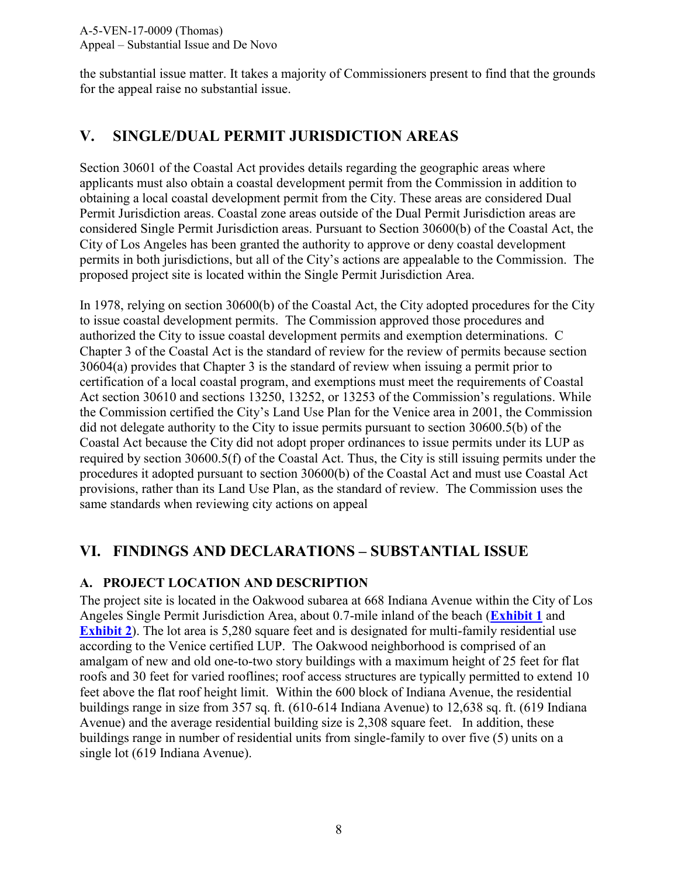the substantial issue matter. It takes a majority of Commissioners present to find that the grounds for the appeal raise no substantial issue.

# <span id="page-7-0"></span>**V. SINGLE/DUAL PERMIT JURISDICTION AREAS**

Section 30601 of the Coastal Act provides details regarding the geographic areas where applicants must also obtain a coastal development permit from the Commission in addition to obtaining a local coastal development permit from the City. These areas are considered Dual Permit Jurisdiction areas. Coastal zone areas outside of the Dual Permit Jurisdiction areas are considered Single Permit Jurisdiction areas. Pursuant to Section 30600(b) of the Coastal Act, the City of Los Angeles has been granted the authority to approve or deny coastal development permits in both jurisdictions, but all of the City's actions are appealable to the Commission. The proposed project site is located within the Single Permit Jurisdiction Area.

In 1978, relying on section 30600(b) of the Coastal Act, the City adopted procedures for the City to issue coastal development permits. The Commission approved those procedures and authorized the City to issue coastal development permits and exemption determinations. C Chapter 3 of the Coastal Act is the standard of review for the review of permits because section 30604(a) provides that Chapter 3 is the standard of review when issuing a permit prior to certification of a local coastal program, and exemptions must meet the requirements of Coastal Act section 30610 and sections 13250, 13252, or 13253 of the Commission's regulations. While the Commission certified the City's Land Use Plan for the Venice area in 2001, the Commission did not delegate authority to the City to issue permits pursuant to section 30600.5(b) of the Coastal Act because the City did not adopt proper ordinances to issue permits under its LUP as required by section 30600.5(f) of the Coastal Act. Thus, the City is still issuing permits under the procedures it adopted pursuant to section 30600(b) of the Coastal Act and must use Coastal Act provisions, rather than its Land Use Plan, as the standard of review. The Commission uses the same standards when reviewing city actions on appeal

# <span id="page-7-1"></span>**VI. FINDINGS AND DECLARATIONS – SUBSTANTIAL ISSUE**

#### <span id="page-7-2"></span>**A. PROJECT LOCATION AND DESCRIPTION**

The project site is located in the Oakwood subarea at 668 Indiana Avenue within the City of Los Angeles Single Permit Jurisdiction Area, about 0.7-mile inland of the beach (**[Exhibit 1](https://documents.coastal.ca.gov/reports/2017/5/f15e/f15e-5-2017-exhibits.pdf)** and **[Exhibit 2](https://documents.coastal.ca.gov/reports/2017/5/f15e/f15e-5-2017-exhibits.pdf)**). The lot area is 5,280 square feet and is designated for multi-family residential use according to the Venice certified LUP. The Oakwood neighborhood is comprised of an amalgam of new and old one-to-two story buildings with a maximum height of 25 feet for flat roofs and 30 feet for varied rooflines; roof access structures are typically permitted to extend 10 feet above the flat roof height limit. Within the 600 block of Indiana Avenue, the residential buildings range in size from 357 sq. ft. (610-614 Indiana Avenue) to 12,638 sq. ft. (619 Indiana Avenue) and the average residential building size is 2,308 square feet. In addition, these buildings range in number of residential units from single-family to over five (5) units on a single lot (619 Indiana Avenue).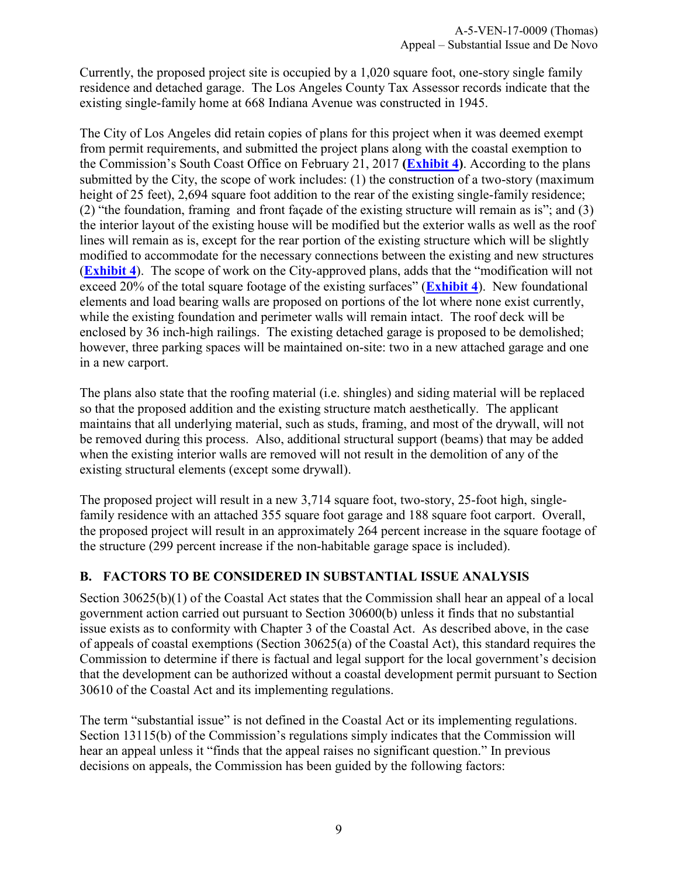Currently, the proposed project site is occupied by a 1,020 square foot, one-story single family residence and detached garage. The Los Angeles County Tax Assessor records indicate that the existing single-family home at 668 Indiana Avenue was constructed in 1945.

The City of Los Angeles did retain copies of plans for this project when it was deemed exempt from permit requirements, and submitted the project plans along with the coastal exemption to the Commission's South Coast Office on February 21, 2017 **[\(Exhibit 4\)](https://documents.coastal.ca.gov/reports/2017/5/f15e/f15e-5-2017-exhibits.pdf)**. According to the plans submitted by the City, the scope of work includes: (1) the construction of a two-story (maximum height of 25 feet), 2,694 square foot addition to the rear of the existing single-family residence; (2) "the foundation, framing and front façade of the existing structure will remain as is"; and (3) the interior layout of the existing house will be modified but the exterior walls as well as the roof lines will remain as is, except for the rear portion of the existing structure which will be slightly modified to accommodate for the necessary connections between the existing and new structures (**[Exhibit 4](https://documents.coastal.ca.gov/reports/2017/5/f15e/f15e-5-2017-exhibits.pdf)**). The scope of work on the City-approved plans, adds that the "modification will not exceed 20% of the total square footage of the existing surfaces" (**[Exhibit 4](https://documents.coastal.ca.gov/reports/2017/5/f15e/f15e-5-2017-exhibits.pdf)**). New foundational elements and load bearing walls are proposed on portions of the lot where none exist currently, while the existing foundation and perimeter walls will remain intact. The roof deck will be enclosed by 36 inch-high railings. The existing detached garage is proposed to be demolished; however, three parking spaces will be maintained on-site: two in a new attached garage and one in a new carport.

The plans also state that the roofing material (i.e. shingles) and siding material will be replaced so that the proposed addition and the existing structure match aesthetically. The applicant maintains that all underlying material, such as studs, framing, and most of the drywall, will not be removed during this process. Also, additional structural support (beams) that may be added when the existing interior walls are removed will not result in the demolition of any of the existing structural elements (except some drywall).

The proposed project will result in a new 3,714 square foot, two-story, 25-foot high, singlefamily residence with an attached 355 square foot garage and 188 square foot carport. Overall, the proposed project will result in an approximately 264 percent increase in the square footage of the structure (299 percent increase if the non-habitable garage space is included).

#### <span id="page-8-0"></span>**B. FACTORS TO BE CONSIDERED IN SUBSTANTIAL ISSUE ANALYSIS**

Section 30625(b)(1) of the Coastal Act states that the Commission shall hear an appeal of a local government action carried out pursuant to Section 30600(b) unless it finds that no substantial issue exists as to conformity with Chapter 3 of the Coastal Act. As described above, in the case of appeals of coastal exemptions (Section 30625(a) of the Coastal Act), this standard requires the Commission to determine if there is factual and legal support for the local government's decision that the development can be authorized without a coastal development permit pursuant to Section 30610 of the Coastal Act and its implementing regulations.

The term "substantial issue" is not defined in the Coastal Act or its implementing regulations. Section 13115(b) of the Commission's regulations simply indicates that the Commission will hear an appeal unless it "finds that the appeal raises no significant question." In previous decisions on appeals, the Commission has been guided by the following factors: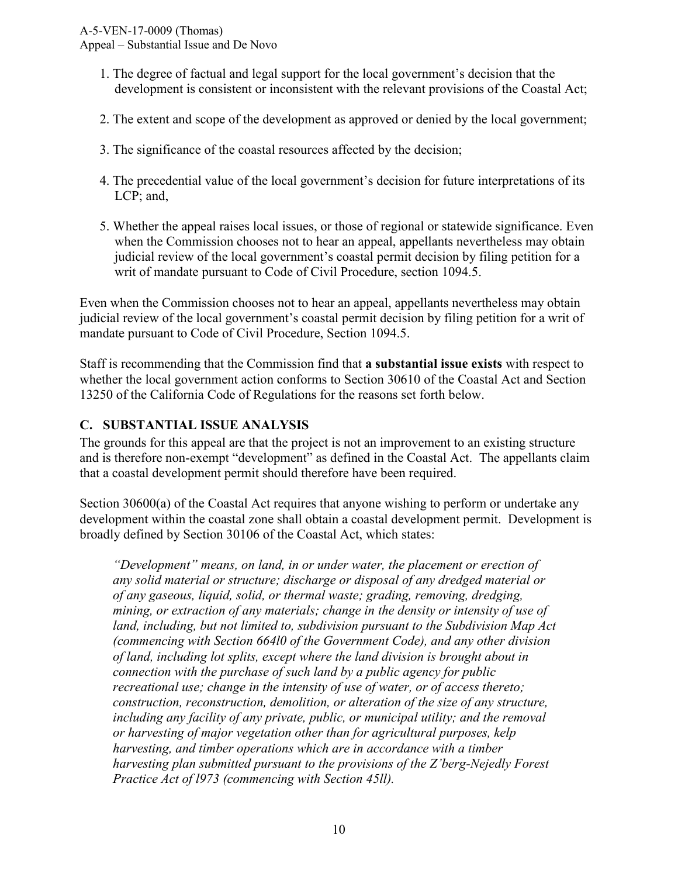Appeal – Substantial Issue and De Novo

- 1. The degree of factual and legal support for the local government's decision that the development is consistent or inconsistent with the relevant provisions of the Coastal Act;
- 2. The extent and scope of the development as approved or denied by the local government;
- 3. The significance of the coastal resources affected by the decision;
- 4. The precedential value of the local government's decision for future interpretations of its LCP; and,
- 5. Whether the appeal raises local issues, or those of regional or statewide significance. Even when the Commission chooses not to hear an appeal, appellants nevertheless may obtain judicial review of the local government's coastal permit decision by filing petition for a writ of mandate pursuant to Code of Civil Procedure, section 1094.5.

Even when the Commission chooses not to hear an appeal, appellants nevertheless may obtain judicial review of the local government's coastal permit decision by filing petition for a writ of mandate pursuant to Code of Civil Procedure, Section 1094.5.

Staff is recommending that the Commission find that **a substantial issue exists** with respect to whether the local government action conforms to Section 30610 of the Coastal Act and Section 13250 of the California Code of Regulations for the reasons set forth below.

#### <span id="page-9-0"></span>**C. SUBSTANTIAL ISSUE ANALYSIS**

The grounds for this appeal are that the project is not an improvement to an existing structure and is therefore non-exempt "development" as defined in the Coastal Act. The appellants claim that a coastal development permit should therefore have been required.

Section 30600(a) of the Coastal Act requires that anyone wishing to perform or undertake any development within the coastal zone shall obtain a coastal development permit. Development is broadly defined by Section 30106 of the Coastal Act, which states:

*"Development" means, on land, in or under water, the placement or erection of any solid material or structure; discharge or disposal of any dredged material or of any gaseous, liquid, solid, or thermal waste; grading, removing, dredging, mining, or extraction of any materials; change in the density or intensity of use of land, including, but not limited to, subdivision pursuant to the Subdivision Map Act (commencing with Section 664l0 of the Government Code), and any other division of land, including lot splits, except where the land division is brought about in connection with the purchase of such land by a public agency for public recreational use; change in the intensity of use of water, or of access thereto; construction, reconstruction, demolition, or alteration of the size of any structure, including any facility of any private, public, or municipal utility; and the removal or harvesting of major vegetation other than for agricultural purposes, kelp harvesting, and timber operations which are in accordance with a timber harvesting plan submitted pursuant to the provisions of the Z'berg-Nejedly Forest Practice Act of l973 (commencing with Section 45ll).*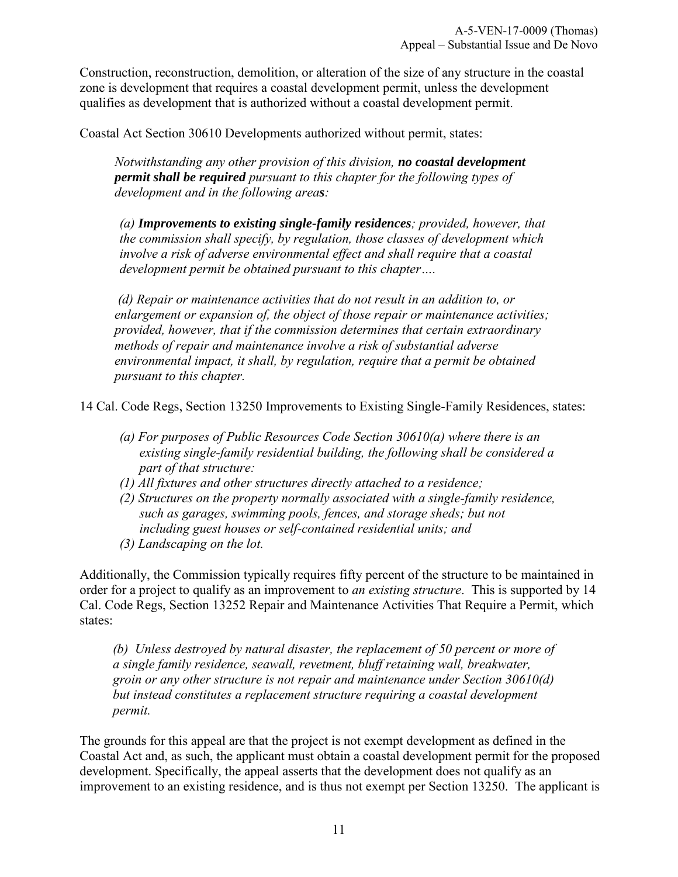Construction, reconstruction, demolition, or alteration of the size of any structure in the coastal zone is development that requires a coastal development permit, unless the development qualifies as development that is authorized without a coastal development permit.

Coastal Act Section 30610 Developments authorized without permit, states:

*Notwithstanding any other provision of this division, no coastal development permit shall be required pursuant to this chapter for the following types of development and in the following areas:* 

*(a) Improvements to existing single-family residences; provided, however, that the commission shall specify, by regulation, those classes of development which involve a risk of adverse environmental effect and shall require that a coastal development permit be obtained pursuant to this chapter….* 

*(d) Repair or maintenance activities that do not result in an addition to, or enlargement or expansion of, the object of those repair or maintenance activities; provided, however, that if the commission determines that certain extraordinary methods of repair and maintenance involve a risk of substantial adverse environmental impact, it shall, by regulation, require that a permit be obtained pursuant to this chapter.* 

14 Cal. Code Regs, Section 13250 Improvements to Existing Single-Family Residences, states:

- *(a) For purposes of Public Resources Code Section 30610(a) where there is an existing single-family residential building, the following shall be considered a part of that structure:*
- *(1) All fixtures and other structures directly attached to a residence;*
- *(2) Structures on the property normally associated with a single-family residence, such as garages, swimming pools, fences, and storage sheds; but not including guest houses or self-contained residential units; and*
- *(3) Landscaping on the lot.*

Additionally, the Commission typically requires fifty percent of the structure to be maintained in order for a project to qualify as an improvement to *an existing structure*. This is supported by 14 Cal. Code Regs, Section 13252 Repair and Maintenance Activities That Require a Permit, which states:

*(b) Unless destroyed by natural disaster, the replacement of 50 percent or more of a single family residence, seawall, revetment, bluff retaining wall, breakwater, groin or any other structure is not repair and maintenance under Section 30610(d) but instead constitutes a replacement structure requiring a coastal development permit.*

The grounds for this appeal are that the project is not exempt development as defined in the Coastal Act and, as such, the applicant must obtain a coastal development permit for the proposed development. Specifically, the appeal asserts that the development does not qualify as an improvement to an existing residence, and is thus not exempt per Section 13250. The applicant is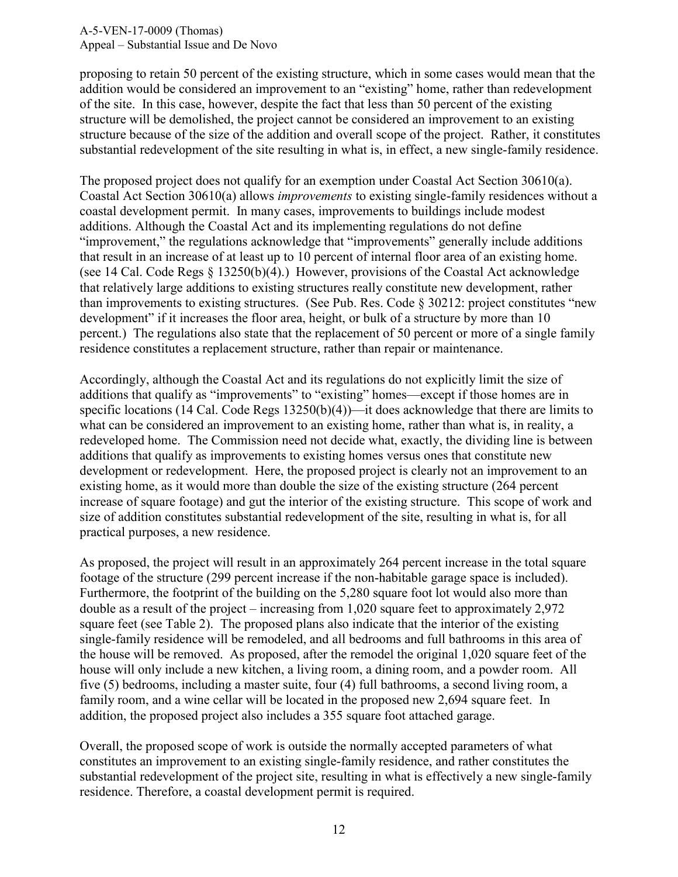proposing to retain 50 percent of the existing structure, which in some cases would mean that the addition would be considered an improvement to an "existing" home, rather than redevelopment of the site. In this case, however, despite the fact that less than 50 percent of the existing structure will be demolished, the project cannot be considered an improvement to an existing structure because of the size of the addition and overall scope of the project. Rather, it constitutes substantial redevelopment of the site resulting in what is, in effect, a new single-family residence.

The proposed project does not qualify for an exemption under Coastal Act Section 30610(a). Coastal Act Section 30610(a) allows *improvements* to existing single-family residences without a coastal development permit. In many cases, improvements to buildings include modest additions. Although the Coastal Act and its implementing regulations do not define "improvement," the regulations acknowledge that "improvements" generally include additions that result in an increase of at least up to 10 percent of internal floor area of an existing home. (see 14 Cal. Code Regs § 13250(b)(4).) However, provisions of the Coastal Act acknowledge that relatively large additions to existing structures really constitute new development, rather than improvements to existing structures. (See Pub. Res. Code § 30212: project constitutes "new development" if it increases the floor area, height, or bulk of a structure by more than 10 percent.) The regulations also state that the replacement of 50 percent or more of a single family residence constitutes a replacement structure, rather than repair or maintenance.

Accordingly, although the Coastal Act and its regulations do not explicitly limit the size of additions that qualify as "improvements" to "existing" homes—except if those homes are in specific locations (14 Cal. Code Regs 13250(b)(4))—it does acknowledge that there are limits to what can be considered an improvement to an existing home, rather than what is, in reality, a redeveloped home. The Commission need not decide what, exactly, the dividing line is between additions that qualify as improvements to existing homes versus ones that constitute new development or redevelopment. Here, the proposed project is clearly not an improvement to an existing home, as it would more than double the size of the existing structure (264 percent increase of square footage) and gut the interior of the existing structure. This scope of work and size of addition constitutes substantial redevelopment of the site, resulting in what is, for all practical purposes, a new residence.

As proposed, the project will result in an approximately 264 percent increase in the total square footage of the structure (299 percent increase if the non-habitable garage space is included). Furthermore, the footprint of the building on the 5,280 square foot lot would also more than double as a result of the project – increasing from 1,020 square feet to approximately 2,972 square feet (see Table 2). The proposed plans also indicate that the interior of the existing single-family residence will be remodeled, and all bedrooms and full bathrooms in this area of the house will be removed. As proposed, after the remodel the original 1,020 square feet of the house will only include a new kitchen, a living room, a dining room, and a powder room. All five (5) bedrooms, including a master suite, four (4) full bathrooms, a second living room, a family room, and a wine cellar will be located in the proposed new 2,694 square feet. In addition, the proposed project also includes a 355 square foot attached garage.

Overall, the proposed scope of work is outside the normally accepted parameters of what constitutes an improvement to an existing single-family residence, and rather constitutes the substantial redevelopment of the project site, resulting in what is effectively a new single-family residence. Therefore, a coastal development permit is required.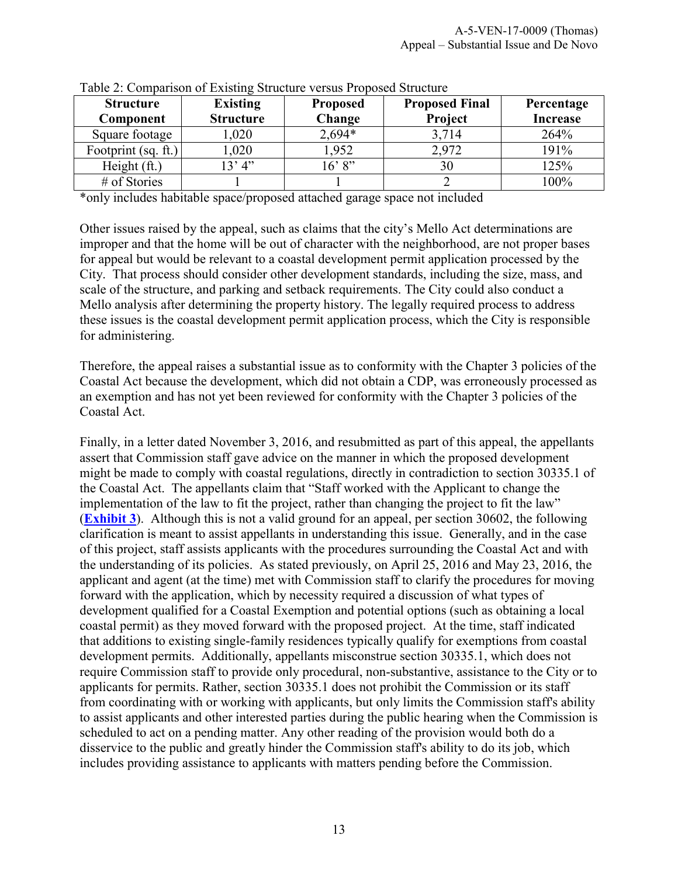| <b>Structure</b>    |                  |                 |                       |                 |
|---------------------|------------------|-----------------|-----------------------|-----------------|
|                     | <b>Existing</b>  | <b>Proposed</b> | <b>Proposed Final</b> | Percentage      |
| Component           | <b>Structure</b> | Change          | Project               | <b>Increase</b> |
| Square footage      | 1,020            | $2,694*$        | 3,714                 | 264%            |
| Footprint (sq. ft.) | 1,020            | 1,952           | 2,972                 | 191%            |
| Height (ft.)        | 13' 4''          | 16'8"           | 30                    | 125%            |
| $#$ of Stories      |                  |                 |                       | 100%            |

|  | Table 2: Comparison of Existing Structure versus Proposed Structure |
|--|---------------------------------------------------------------------|
|  |                                                                     |

\*only includes habitable space/proposed attached garage space not included

Other issues raised by the appeal, such as claims that the city's Mello Act determinations are improper and that the home will be out of character with the neighborhood, are not proper bases for appeal but would be relevant to a coastal development permit application processed by the City. That process should consider other development standards, including the size, mass, and scale of the structure, and parking and setback requirements. The City could also conduct a Mello analysis after determining the property history. The legally required process to address these issues is the coastal development permit application process, which the City is responsible for administering.

Therefore, the appeal raises a substantial issue as to conformity with the Chapter 3 policies of the Coastal Act because the development, which did not obtain a CDP, was erroneously processed as an exemption and has not yet been reviewed for conformity with the Chapter 3 policies of the Coastal Act.

Finally, in a letter dated November 3, 2016, and resubmitted as part of this appeal, the appellants assert that Commission staff gave advice on the manner in which the proposed development might be made to comply with coastal regulations, directly in contradiction to section 30335.1 of the Coastal Act. The appellants claim that "Staff worked with the Applicant to change the implementation of the law to fit the project, rather than changing the project to fit the law" (**[Exhibit 3](https://documents.coastal.ca.gov/reports/2017/5/f15e/f15e-5-2017-exhibits.pdf)**). Although this is not a valid ground for an appeal, per section 30602, the following clarification is meant to assist appellants in understanding this issue. Generally, and in the case of this project, staff assists applicants with the procedures surrounding the Coastal Act and with the understanding of its policies. As stated previously, on April 25, 2016 and May 23, 2016, the applicant and agent (at the time) met with Commission staff to clarify the procedures for moving forward with the application, which by necessity required a discussion of what types of development qualified for a Coastal Exemption and potential options (such as obtaining a local coastal permit) as they moved forward with the proposed project. At the time, staff indicated that additions to existing single-family residences typically qualify for exemptions from coastal development permits. Additionally, appellants misconstrue section 30335.1, which does not require Commission staff to provide only procedural, non-substantive, assistance to the City or to applicants for permits. Rather, section 30335.1 does not prohibit the Commission or its staff from coordinating with or working with applicants, but only limits the Commission staff's ability to assist applicants and other interested parties during the public hearing when the Commission is scheduled to act on a pending matter. Any other reading of the provision would both do a disservice to the public and greatly hinder the Commission staff's ability to do its job, which includes providing assistance to applicants with matters pending before the Commission.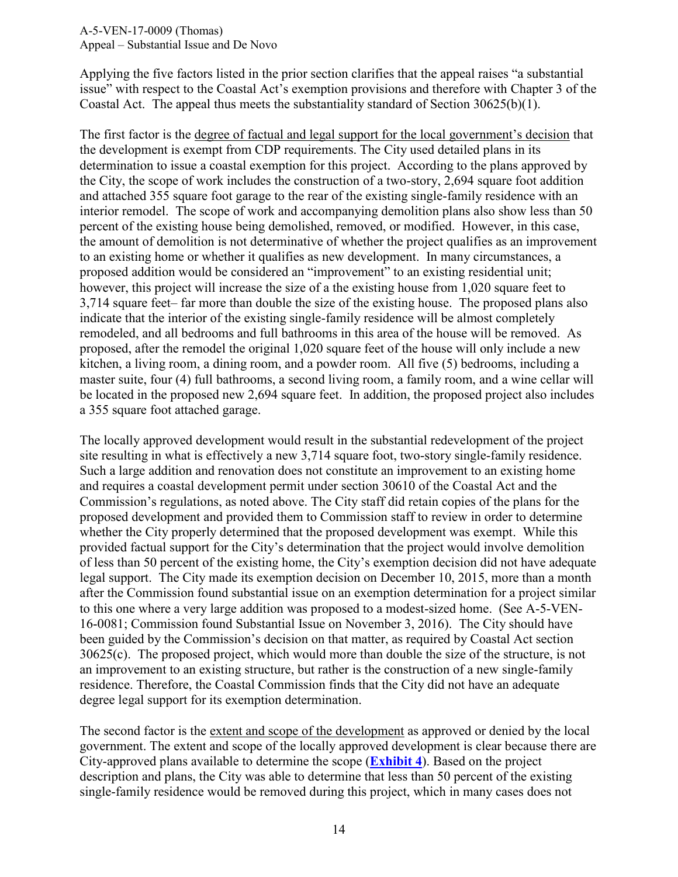Applying the five factors listed in the prior section clarifies that the appeal raises "a substantial issue" with respect to the Coastal Act's exemption provisions and therefore with Chapter 3 of the Coastal Act. The appeal thus meets the substantiality standard of Section 30625(b)(1).

The first factor is the degree of factual and legal support for the local government's decision that the development is exempt from CDP requirements. The City used detailed plans in its determination to issue a coastal exemption for this project. According to the plans approved by the City, the scope of work includes the construction of a two-story, 2,694 square foot addition and attached 355 square foot garage to the rear of the existing single-family residence with an interior remodel. The scope of work and accompanying demolition plans also show less than 50 percent of the existing house being demolished, removed, or modified. However, in this case, the amount of demolition is not determinative of whether the project qualifies as an improvement to an existing home or whether it qualifies as new development. In many circumstances, a proposed addition would be considered an "improvement" to an existing residential unit; however, this project will increase the size of a the existing house from 1,020 square feet to 3,714 square feet– far more than double the size of the existing house. The proposed plans also indicate that the interior of the existing single-family residence will be almost completely remodeled, and all bedrooms and full bathrooms in this area of the house will be removed. As proposed, after the remodel the original 1,020 square feet of the house will only include a new kitchen, a living room, a dining room, and a powder room. All five (5) bedrooms, including a master suite, four (4) full bathrooms, a second living room, a family room, and a wine cellar will be located in the proposed new 2,694 square feet. In addition, the proposed project also includes a 355 square foot attached garage.

The locally approved development would result in the substantial redevelopment of the project site resulting in what is effectively a new 3,714 square foot, two-story single-family residence. Such a large addition and renovation does not constitute an improvement to an existing home and requires a coastal development permit under section 30610 of the Coastal Act and the Commission's regulations, as noted above. The City staff did retain copies of the plans for the proposed development and provided them to Commission staff to review in order to determine whether the City properly determined that the proposed development was exempt. While this provided factual support for the City's determination that the project would involve demolition of less than 50 percent of the existing home, the City's exemption decision did not have adequate legal support. The City made its exemption decision on December 10, 2015, more than a month after the Commission found substantial issue on an exemption determination for a project similar to this one where a very large addition was proposed to a modest-sized home. (See A-5-VEN-16-0081; Commission found Substantial Issue on November 3, 2016). The City should have been guided by the Commission's decision on that matter, as required by Coastal Act section 30625(c). The proposed project, which would more than double the size of the structure, is not an improvement to an existing structure, but rather is the construction of a new single-family residence. Therefore, the Coastal Commission finds that the City did not have an adequate degree legal support for its exemption determination.

The second factor is the extent and scope of the development as approved or denied by the local government. The extent and scope of the locally approved development is clear because there are City-approved plans available to determine the scope (**[Exhibit 4](https://documents.coastal.ca.gov/reports/2017/5/f15e/f15e-5-2017-exhibits.pdf)**). Based on the project description and plans, the City was able to determine that less than 50 percent of the existing single-family residence would be removed during this project, which in many cases does not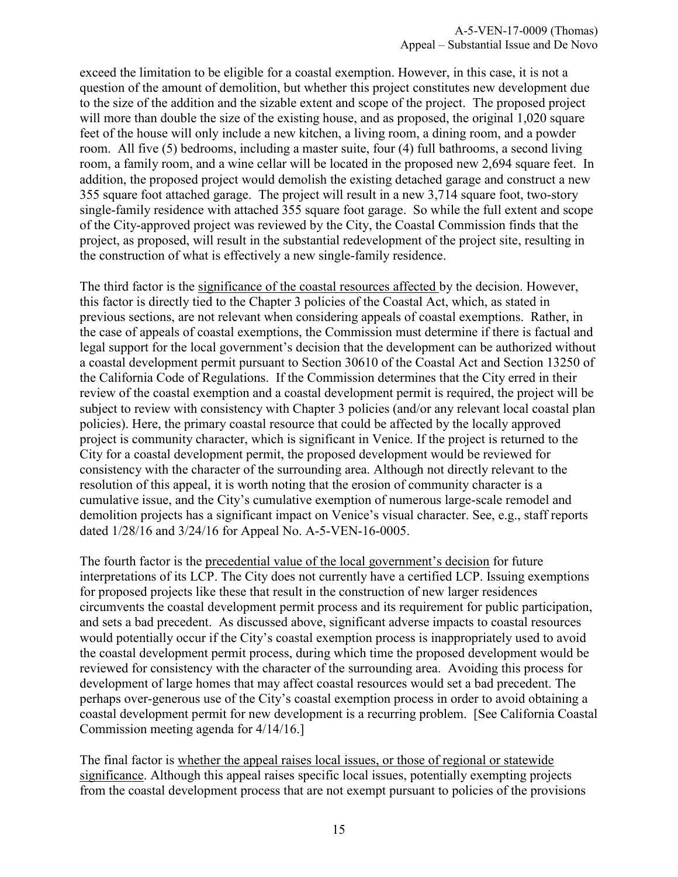exceed the limitation to be eligible for a coastal exemption. However, in this case, it is not a question of the amount of demolition, but whether this project constitutes new development due to the size of the addition and the sizable extent and scope of the project. The proposed project will more than double the size of the existing house, and as proposed, the original 1,020 square feet of the house will only include a new kitchen, a living room, a dining room, and a powder room. All five (5) bedrooms, including a master suite, four (4) full bathrooms, a second living room, a family room, and a wine cellar will be located in the proposed new 2,694 square feet. In addition, the proposed project would demolish the existing detached garage and construct a new 355 square foot attached garage. The project will result in a new 3,714 square foot, two-story single-family residence with attached 355 square foot garage. So while the full extent and scope of the City-approved project was reviewed by the City, the Coastal Commission finds that the project, as proposed, will result in the substantial redevelopment of the project site, resulting in the construction of what is effectively a new single-family residence.

The third factor is the significance of the coastal resources affected by the decision. However, this factor is directly tied to the Chapter 3 policies of the Coastal Act, which, as stated in previous sections, are not relevant when considering appeals of coastal exemptions. Rather, in the case of appeals of coastal exemptions, the Commission must determine if there is factual and legal support for the local government's decision that the development can be authorized without a coastal development permit pursuant to Section 30610 of the Coastal Act and Section 13250 of the California Code of Regulations. If the Commission determines that the City erred in their review of the coastal exemption and a coastal development permit is required, the project will be subject to review with consistency with Chapter 3 policies (and/or any relevant local coastal plan policies). Here, the primary coastal resource that could be affected by the locally approved project is community character, which is significant in Venice. If the project is returned to the City for a coastal development permit, the proposed development would be reviewed for consistency with the character of the surrounding area. Although not directly relevant to the resolution of this appeal, it is worth noting that the erosion of community character is a cumulative issue, and the City's cumulative exemption of numerous large-scale remodel and demolition projects has a significant impact on Venice's visual character. See, e.g., staff reports dated 1/28/16 and 3/24/16 for Appeal No. A-5-VEN-16-0005.

The fourth factor is the precedential value of the local government's decision for future interpretations of its LCP. The City does not currently have a certified LCP. Issuing exemptions for proposed projects like these that result in the construction of new larger residences circumvents the coastal development permit process and its requirement for public participation, and sets a bad precedent. As discussed above, significant adverse impacts to coastal resources would potentially occur if the City's coastal exemption process is inappropriately used to avoid the coastal development permit process, during which time the proposed development would be reviewed for consistency with the character of the surrounding area. Avoiding this process for development of large homes that may affect coastal resources would set a bad precedent. The perhaps over-generous use of the City's coastal exemption process in order to avoid obtaining a coastal development permit for new development is a recurring problem. [See California Coastal Commission meeting agenda for 4/14/16.]

The final factor is whether the appeal raises local issues, or those of regional or statewide significance. Although this appeal raises specific local issues, potentially exempting projects from the coastal development process that are not exempt pursuant to policies of the provisions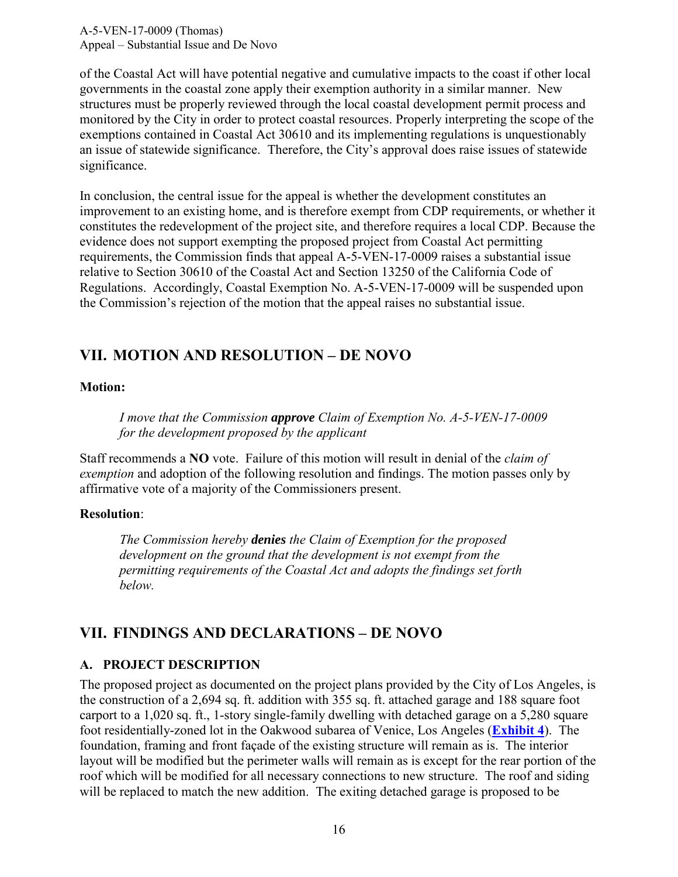of the Coastal Act will have potential negative and cumulative impacts to the coast if other local governments in the coastal zone apply their exemption authority in a similar manner. New structures must be properly reviewed through the local coastal development permit process and monitored by the City in order to protect coastal resources. Properly interpreting the scope of the exemptions contained in Coastal Act 30610 and its implementing regulations is unquestionably an issue of statewide significance. Therefore, the City's approval does raise issues of statewide significance.

In conclusion, the central issue for the appeal is whether the development constitutes an improvement to an existing home, and is therefore exempt from CDP requirements, or whether it constitutes the redevelopment of the project site, and therefore requires a local CDP. Because the evidence does not support exempting the proposed project from Coastal Act permitting requirements, the Commission finds that appeal A-5-VEN-17-0009 raises a substantial issue relative to Section 30610 of the Coastal Act and Section 13250 of the California Code of Regulations. Accordingly, Coastal Exemption No. A-5-VEN-17-0009 will be suspended upon the Commission's rejection of the motion that the appeal raises no substantial issue.

# <span id="page-15-0"></span>**VII. MOTION AND RESOLUTION – DE NOVO**

#### **Motion:**

*I move that the Commission approve Claim of Exemption No. A-5-VEN-17-0009 for the development proposed by the applicant* 

Staff recommends a **NO** vote. Failure of this motion will result in denial of the *claim of exemption* and adoption of the following resolution and findings. The motion passes only by affirmative vote of a majority of the Commissioners present.

#### **Resolution**:

*The Commission hereby denies the Claim of Exemption for the proposed development on the ground that the development is not exempt from the permitting requirements of the Coastal Act and adopts the findings set forth below.* 

# <span id="page-15-1"></span>**VII. FINDINGS AND DECLARATIONS – DE NOVO**

#### <span id="page-15-2"></span>**A. PROJECT DESCRIPTION**

The proposed project as documented on the project plans provided by the City of Los Angeles, is the construction of a 2,694 sq. ft. addition with 355 sq. ft. attached garage and 188 square foot carport to a 1,020 sq. ft., 1-story single-family dwelling with detached garage on a 5,280 square foot residentially-zoned lot in the Oakwood subarea of Venice, Los Angeles (**[Exhibit 4](https://documents.coastal.ca.gov/reports/2017/5/f15e/f15e-5-2017-exhibits.pdf)**). The foundation, framing and front façade of the existing structure will remain as is. The interior layout will be modified but the perimeter walls will remain as is except for the rear portion of the roof which will be modified for all necessary connections to new structure. The roof and siding will be replaced to match the new addition. The exiting detached garage is proposed to be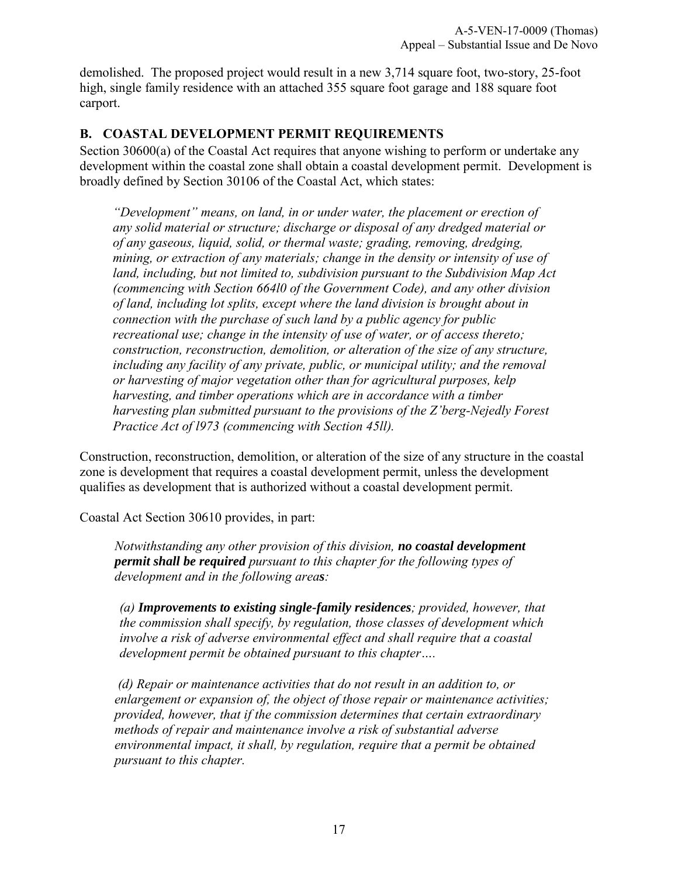demolished. The proposed project would result in a new 3,714 square foot, two-story, 25-foot high, single family residence with an attached 355 square foot garage and 188 square foot carport.

#### <span id="page-16-0"></span>**B. COASTAL DEVELOPMENT PERMIT REQUIREMENTS**

Section 30600(a) of the Coastal Act requires that anyone wishing to perform or undertake any development within the coastal zone shall obtain a coastal development permit. Development is broadly defined by Section 30106 of the Coastal Act, which states:

*"Development" means, on land, in or under water, the placement or erection of any solid material or structure; discharge or disposal of any dredged material or of any gaseous, liquid, solid, or thermal waste; grading, removing, dredging, mining, or extraction of any materials; change in the density or intensity of use of land, including, but not limited to, subdivision pursuant to the Subdivision Map Act (commencing with Section 664l0 of the Government Code), and any other division of land, including lot splits, except where the land division is brought about in connection with the purchase of such land by a public agency for public recreational use; change in the intensity of use of water, or of access thereto; construction, reconstruction, demolition, or alteration of the size of any structure, including any facility of any private, public, or municipal utility; and the removal or harvesting of major vegetation other than for agricultural purposes, kelp harvesting, and timber operations which are in accordance with a timber harvesting plan submitted pursuant to the provisions of the Z'berg-Nejedly Forest Practice Act of l973 (commencing with Section 45ll).* 

Construction, reconstruction, demolition, or alteration of the size of any structure in the coastal zone is development that requires a coastal development permit, unless the development qualifies as development that is authorized without a coastal development permit.

Coastal Act Section 30610 provides, in part:

*Notwithstanding any other provision of this division, no coastal development permit shall be required pursuant to this chapter for the following types of development and in the following areas:* 

*(a) Improvements to existing single-family residences; provided, however, that the commission shall specify, by regulation, those classes of development which involve a risk of adverse environmental effect and shall require that a coastal development permit be obtained pursuant to this chapter….* 

*(d) Repair or maintenance activities that do not result in an addition to, or enlargement or expansion of, the object of those repair or maintenance activities; provided, however, that if the commission determines that certain extraordinary methods of repair and maintenance involve a risk of substantial adverse environmental impact, it shall, by regulation, require that a permit be obtained pursuant to this chapter.*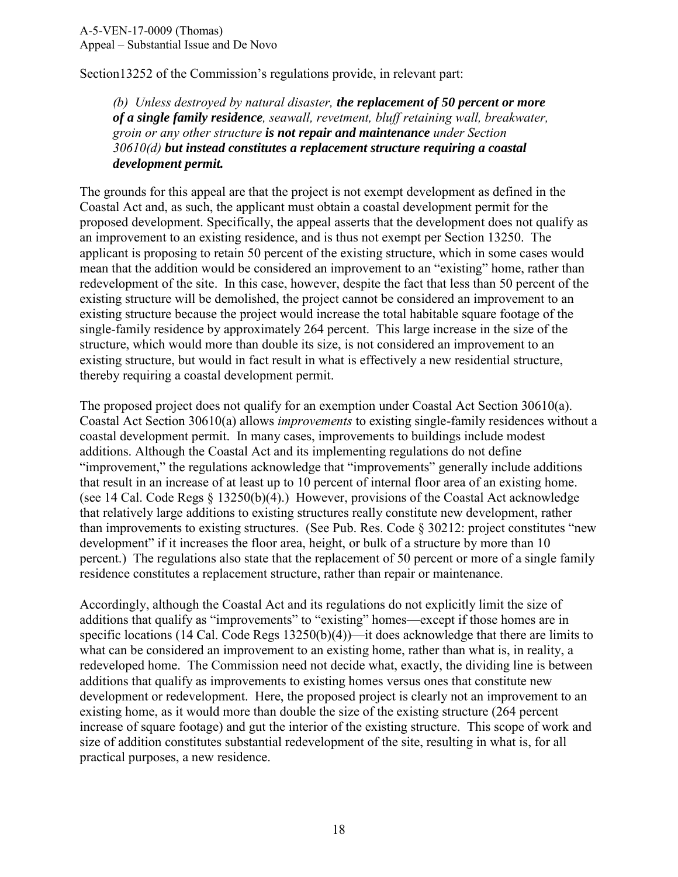Section13252 of the Commission's regulations provide, in relevant part:

*(b) Unless destroyed by natural disaster, the replacement of 50 percent or more of a single family residence, seawall, revetment, bluff retaining wall, breakwater, groin or any other structure is not repair and maintenance under Section 30610(d) but instead constitutes a replacement structure requiring a coastal development permit.* 

The grounds for this appeal are that the project is not exempt development as defined in the Coastal Act and, as such, the applicant must obtain a coastal development permit for the proposed development. Specifically, the appeal asserts that the development does not qualify as an improvement to an existing residence, and is thus not exempt per Section 13250. The applicant is proposing to retain 50 percent of the existing structure, which in some cases would mean that the addition would be considered an improvement to an "existing" home, rather than redevelopment of the site. In this case, however, despite the fact that less than 50 percent of the existing structure will be demolished, the project cannot be considered an improvement to an existing structure because the project would increase the total habitable square footage of the single-family residence by approximately 264 percent. This large increase in the size of the structure, which would more than double its size, is not considered an improvement to an existing structure, but would in fact result in what is effectively a new residential structure, thereby requiring a coastal development permit.

The proposed project does not qualify for an exemption under Coastal Act Section 30610(a). Coastal Act Section 30610(a) allows *improvements* to existing single-family residences without a coastal development permit. In many cases, improvements to buildings include modest additions. Although the Coastal Act and its implementing regulations do not define "improvement," the regulations acknowledge that "improvements" generally include additions that result in an increase of at least up to 10 percent of internal floor area of an existing home. (see 14 Cal. Code Regs § 13250(b)(4).) However, provisions of the Coastal Act acknowledge that relatively large additions to existing structures really constitute new development, rather than improvements to existing structures. (See Pub. Res. Code § 30212: project constitutes "new development" if it increases the floor area, height, or bulk of a structure by more than 10 percent.) The regulations also state that the replacement of 50 percent or more of a single family residence constitutes a replacement structure, rather than repair or maintenance.

Accordingly, although the Coastal Act and its regulations do not explicitly limit the size of additions that qualify as "improvements" to "existing" homes—except if those homes are in specific locations (14 Cal. Code Regs 13250(b)(4))—it does acknowledge that there are limits to what can be considered an improvement to an existing home, rather than what is, in reality, a redeveloped home. The Commission need not decide what, exactly, the dividing line is between additions that qualify as improvements to existing homes versus ones that constitute new development or redevelopment. Here, the proposed project is clearly not an improvement to an existing home, as it would more than double the size of the existing structure (264 percent increase of square footage) and gut the interior of the existing structure. This scope of work and size of addition constitutes substantial redevelopment of the site, resulting in what is, for all practical purposes, a new residence.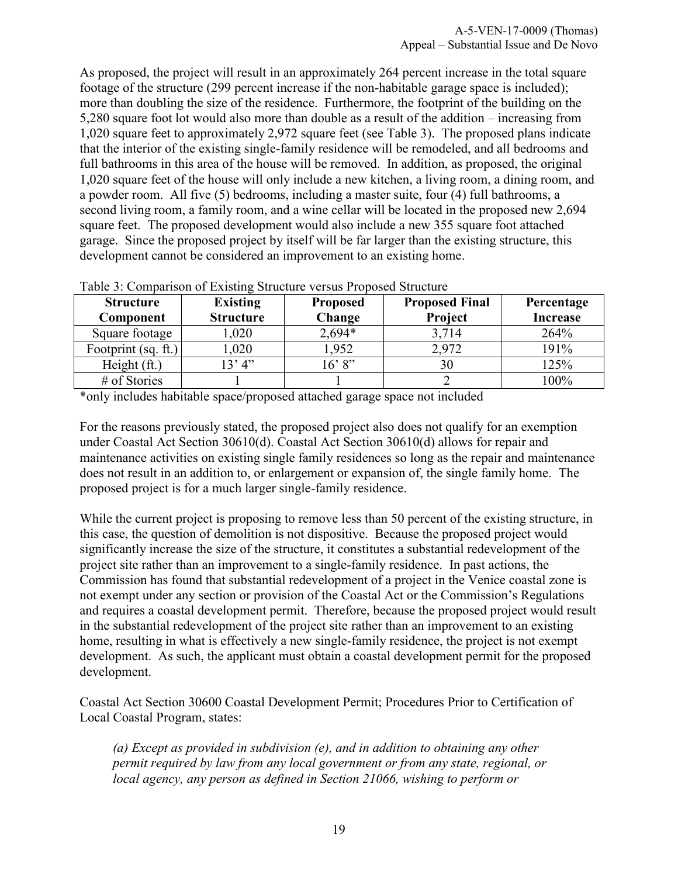As proposed, the project will result in an approximately 264 percent increase in the total square footage of the structure (299 percent increase if the non-habitable garage space is included); more than doubling the size of the residence. Furthermore, the footprint of the building on the 5,280 square foot lot would also more than double as a result of the addition – increasing from 1,020 square feet to approximately 2,972 square feet (see Table 3). The proposed plans indicate that the interior of the existing single-family residence will be remodeled, and all bedrooms and full bathrooms in this area of the house will be removed. In addition, as proposed, the original 1,020 square feet of the house will only include a new kitchen, a living room, a dining room, and a powder room. All five (5) bedrooms, including a master suite, four (4) full bathrooms, a second living room, a family room, and a wine cellar will be located in the proposed new 2,694 square feet. The proposed development would also include a new 355 square foot attached garage. Since the proposed project by itself will be far larger than the existing structure, this development cannot be considered an improvement to an existing home.

| <b>Structure</b><br>Component | <b>Existing</b><br><b>Structure</b> | <b>Proposed</b><br>Change | <b>Proposed Final</b><br>Project | Percentage<br><b>Increase</b> |
|-------------------------------|-------------------------------------|---------------------------|----------------------------------|-------------------------------|
| Square footage                | ,020                                | $2,694*$                  | 3,714                            | 264%                          |
| Footprint (sq. ft.)           | 1,020                               | 1,952                     | 2,972                            | 191%                          |
| Height (ft.)                  | 13' 4''                             | 16' 8''                   | 30                               | 125%                          |
| # of Stories                  |                                     |                           |                                  | 100%                          |

Table 3: Comparison of Existing Structure versus Proposed Structure

\*only includes habitable space/proposed attached garage space not included

For the reasons previously stated, the proposed project also does not qualify for an exemption under Coastal Act Section 30610(d). Coastal Act Section 30610(d) allows for repair and maintenance activities on existing single family residences so long as the repair and maintenance does not result in an addition to, or enlargement or expansion of, the single family home. The proposed project is for a much larger single-family residence.

While the current project is proposing to remove less than 50 percent of the existing structure, in this case, the question of demolition is not dispositive. Because the proposed project would significantly increase the size of the structure, it constitutes a substantial redevelopment of the project site rather than an improvement to a single-family residence. In past actions, the Commission has found that substantial redevelopment of a project in the Venice coastal zone is not exempt under any section or provision of the Coastal Act or the Commission's Regulations and requires a coastal development permit. Therefore, because the proposed project would result in the substantial redevelopment of the project site rather than an improvement to an existing home, resulting in what is effectively a new single-family residence, the project is not exempt development. As such, the applicant must obtain a coastal development permit for the proposed development.

Coastal Act Section 30600 Coastal Development Permit; Procedures Prior to Certification of Local Coastal Program, states:

*(a) Except as provided in subdivision (e), and in addition to obtaining any other permit required by law from any local government or from any state, regional, or local agency, any person as defined in Section 21066, wishing to perform or*